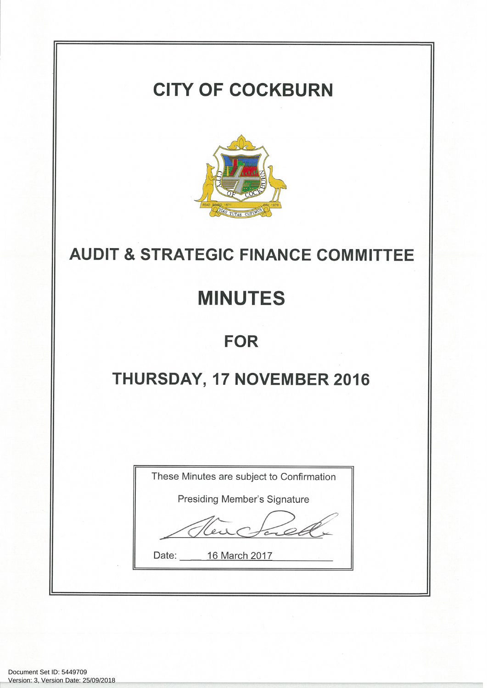# **CITY OF COCKBURN**



## **AUDIT & STRATEGIC FINANCE COMMITTEE**

# **MINUTES**

### **FOR**

# THURSDAY, 17 NOVEMBER 2016

|       | These Minutes are subject to Confirmation |
|-------|-------------------------------------------|
|       | Presiding Member's Signature              |
|       |                                           |
| Date: | 16 March 2017                             |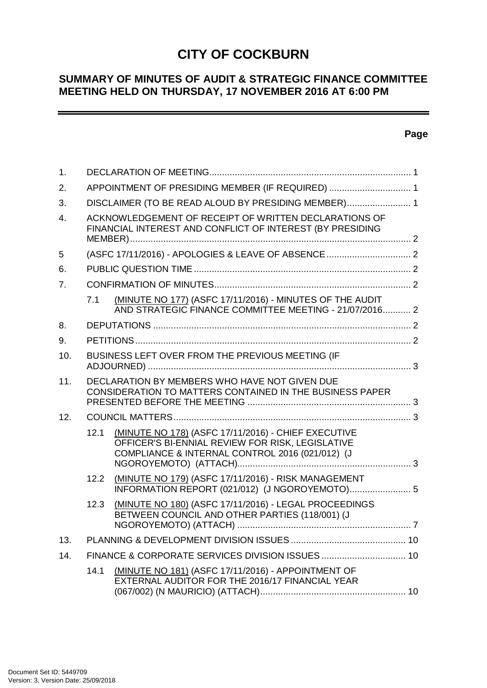### **CITY OF COCKBURN**

#### **SUMMARY OF MINUTES OF AUDIT & STRATEGIC FINANCE COMMITTEE MEETING HELD ON THURSDAY, 17 NOVEMBER 2016 AT 6:00 PM**

#### **Page**

 $\overline{\phantom{0}}$ 

| 1.               |      |                                                                                                                                                            |  |
|------------------|------|------------------------------------------------------------------------------------------------------------------------------------------------------------|--|
| 2.               |      | APPOINTMENT OF PRESIDING MEMBER (IF REQUIRED)  1                                                                                                           |  |
| 3.               |      | DISCLAIMER (TO BE READ ALOUD BY PRESIDING MEMBER) 1                                                                                                        |  |
| $\overline{4}$ . |      | ACKNOWLEDGEMENT OF RECEIPT OF WRITTEN DECLARATIONS OF<br>FINANCIAL INTEREST AND CONFLICT OF INTEREST (BY PRESIDING                                         |  |
| 5                |      |                                                                                                                                                            |  |
| 6.               |      |                                                                                                                                                            |  |
| 7 <sub>1</sub>   |      |                                                                                                                                                            |  |
|                  | 7.1  | (MINUTE NO 177) (ASFC 17/11/2016) - MINUTES OF THE AUDIT<br>AND STRATEGIC FINANCE COMMITTEE MEETING - 21/07/2016 2                                         |  |
| 8.               |      |                                                                                                                                                            |  |
| 9.               |      |                                                                                                                                                            |  |
| 10.              |      | BUSINESS LEFT OVER FROM THE PREVIOUS MEETING (IF                                                                                                           |  |
| 11.              |      | DECLARATION BY MEMBERS WHO HAVE NOT GIVEN DUE<br>CONSIDERATION TO MATTERS CONTAINED IN THE BUSINESS PAPER                                                  |  |
| 12.              |      |                                                                                                                                                            |  |
|                  | 12.1 | (MINUTE NO 178) (ASFC 17/11/2016) - CHIEF EXECUTIVE<br>OFFICER'S BI-ENNIAL REVIEW FOR RISK, LEGISLATIVE<br>COMPLIANCE & INTERNAL CONTROL 2016 (021/012) (J |  |
|                  | 12.2 | (MINUTE NO 179) (ASFC 17/11/2016) - RISK MANAGEMENT<br>INFORMATION REPORT (021/012) (J NGOROYEMOTO) 5                                                      |  |
|                  | 12.3 | (MINUTE NO 180) (ASFC 17/11/2016) - LEGAL PROCEEDINGS<br>BETWEEN COUNCIL AND OTHER PARTIES (118/001) (J                                                    |  |
| 13.              |      |                                                                                                                                                            |  |
| 14.              |      |                                                                                                                                                            |  |
|                  | 14.1 | (MINUTE NO 181) (ASFC 17/11/2016) - APPOINTMENT OF<br>EXTERNAL AUDITOR FOR THE 2016/17 FINANCIAL YEAR                                                      |  |
|                  |      |                                                                                                                                                            |  |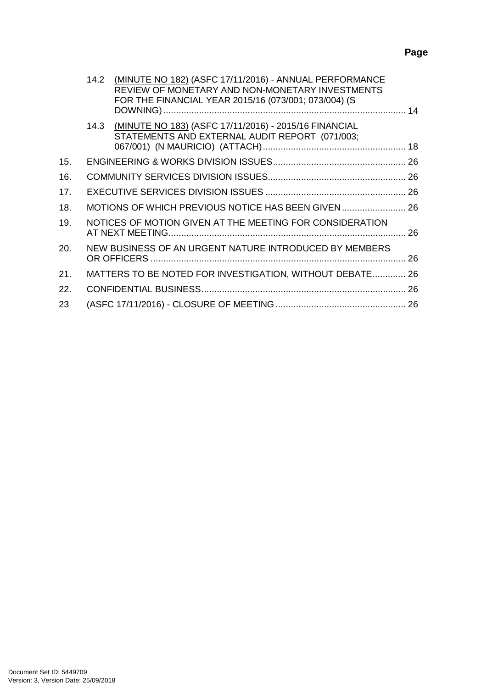|     | 14.2 | (MINUTE NO 182) (ASFC 17/11/2016) - ANNUAL PERFORMANCE<br>REVIEW OF MONETARY AND NON-MONETARY INVESTMENTS<br>FOR THE FINANCIAL YEAR 2015/16 (073/001; 073/004) (S |  |
|-----|------|-------------------------------------------------------------------------------------------------------------------------------------------------------------------|--|
|     | 14.3 | (MINUTE NO 183) (ASFC 17/11/2016) - 2015/16 FINANCIAL<br>STATEMENTS AND EXTERNAL AUDIT REPORT (071/003;                                                           |  |
| 15. |      |                                                                                                                                                                   |  |
| 16. |      |                                                                                                                                                                   |  |
| 17. |      |                                                                                                                                                                   |  |
| 18. |      | MOTIONS OF WHICH PREVIOUS NOTICE HAS BEEN GIVEN  26                                                                                                               |  |
| 19. |      | NOTICES OF MOTION GIVEN AT THE MEETING FOR CONSIDERATION                                                                                                          |  |
| 20. |      | NEW BUSINESS OF AN URGENT NATURE INTRODUCED BY MEMBERS                                                                                                            |  |
| 21. |      | MATTERS TO BE NOTED FOR INVESTIGATION, WITHOUT DEBATE 26                                                                                                          |  |
| 22. |      |                                                                                                                                                                   |  |
| 23  |      |                                                                                                                                                                   |  |
|     |      |                                                                                                                                                                   |  |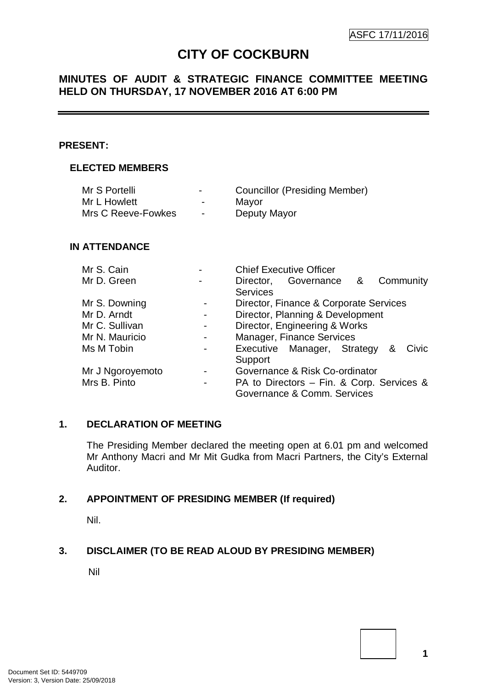### **CITY OF COCKBURN**

#### **MINUTES OF AUDIT & STRATEGIC FINANCE COMMITTEE MEETING HELD ON THURSDAY, 17 NOVEMBER 2016 AT 6:00 PM**

#### **PRESENT:**

#### **ELECTED MEMBERS**

| Mr S Portelli      | $\blacksquare$           | <b>Councillor (Presiding Member)</b> |
|--------------------|--------------------------|--------------------------------------|
| Mr L Howlett       | $\overline{\phantom{0}}$ | Mayor                                |
| Mrs C Reeve-Fowkes | $\overline{\phantom{0}}$ | Deputy Mayor                         |

#### **IN ATTENDANCE**

| Mr S. Cain       |   | <b>Chief Executive Officer</b>            |  |  |  |  |
|------------------|---|-------------------------------------------|--|--|--|--|
| Mr D. Green      |   | Community<br>Governance &<br>Director,    |  |  |  |  |
|                  |   | <b>Services</b>                           |  |  |  |  |
| Mr S. Downing    |   | Director, Finance & Corporate Services    |  |  |  |  |
| Mr D. Arndt      | - | Director, Planning & Development          |  |  |  |  |
| Mr C. Sullivan   | - | Director, Engineering & Works             |  |  |  |  |
| Mr N. Mauricio   | - | Manager, Finance Services                 |  |  |  |  |
| Ms M Tobin       |   | Executive Manager, Strategy<br>Civic<br>& |  |  |  |  |
|                  |   | Support                                   |  |  |  |  |
| Mr J Ngoroyemoto |   | Governance & Risk Co-ordinator            |  |  |  |  |
| Mrs B. Pinto     | - | PA to Directors - Fin. & Corp. Services & |  |  |  |  |
|                  |   | Governance & Comm. Services               |  |  |  |  |

#### **1. DECLARATION OF MEETING**

The Presiding Member declared the meeting open at 6.01 pm and welcomed Mr Anthony Macri and Mr Mit Gudka from Macri Partners, the City's External Auditor.

#### **2. APPOINTMENT OF PRESIDING MEMBER (If required)**

Nil.

#### **3. DISCLAIMER (TO BE READ ALOUD BY PRESIDING MEMBER)**

Nil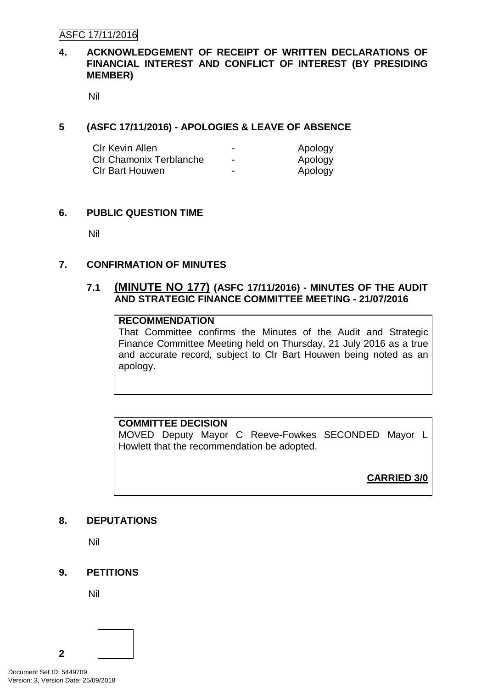ASFC 17/11/2016

#### **4. ACKNOWLEDGEMENT OF RECEIPT OF WRITTEN DECLARATIONS OF FINANCIAL INTEREST AND CONFLICT OF INTEREST (BY PRESIDING MEMBER)**

Nil

#### **5 (ASFC 17/11/2016) - APOLOGIES & LEAVE OF ABSENCE**

| <b>CIr Kevin Allen</b>         | $\overline{\phantom{0}}$ | Apology |
|--------------------------------|--------------------------|---------|
| <b>CIr Chamonix Terblanche</b> | -                        | Apology |
| <b>CIr Bart Houwen</b>         | $\overline{\phantom{0}}$ | Apology |

#### **6. PUBLIC QUESTION TIME**

Nil

#### **7. CONFIRMATION OF MINUTES**

#### **7.1 (MINUTE NO 177) (ASFC 17/11/2016) - MINUTES OF THE AUDIT AND STRATEGIC FINANCE COMMITTEE MEETING - 21/07/2016**

#### **RECOMMENDATION**

That Committee confirms the Minutes of the Audit and Strategic Finance Committee Meeting held on Thursday, 21 July 2016 as a true and accurate record, subject to Clr Bart Houwen being noted as an apology.

#### **COMMITTEE DECISION**

MOVED Deputy Mayor C Reeve-Fowkes SECONDED Mayor L Howlett that the recommendation be adopted.

#### **CARRIED 3/0**

#### **8. DEPUTATIONS**

Nil

#### **9. PETITIONS**

Nil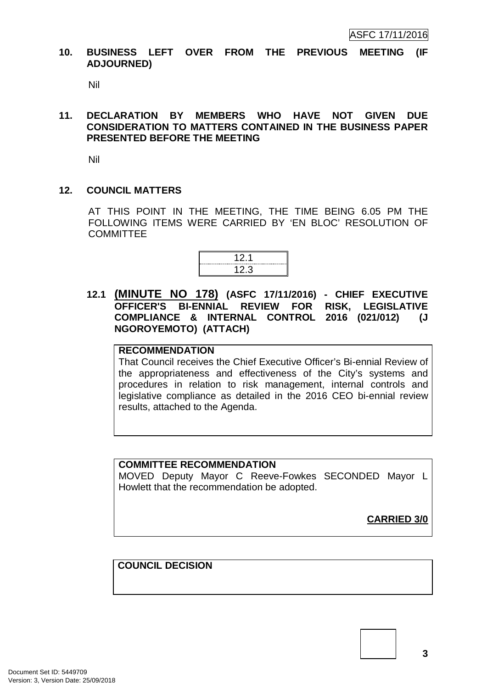#### **10. BUSINESS LEFT OVER FROM THE PREVIOUS MEETING (IF ADJOURNED)**

Nil

#### **11. DECLARATION BY MEMBERS WHO HAVE NOT GIVEN DUE CONSIDERATION TO MATTERS CONTAINED IN THE BUSINESS PAPER PRESENTED BEFORE THE MEETING**

Nil

#### **12. COUNCIL MATTERS**

AT THIS POINT IN THE MEETING, THE TIME BEING 6.05 PM THE FOLLOWING ITEMS WERE CARRIED BY 'EN BLOC' RESOLUTION OF **COMMITTEE** 



**12.1 (MINUTE NO 178) (ASFC 17/11/2016) - CHIEF EXECUTIVE OFFICER'S BI-ENNIAL REVIEW FOR RISK, LEGISLATIVE COMPLIANCE & INTERNAL CONTROL 2016 (021/012) (J NGOROYEMOTO) (ATTACH)**

#### **RECOMMENDATION**

That Council receives the Chief Executive Officer's Bi-ennial Review of the appropriateness and effectiveness of the City's systems and procedures in relation to risk management, internal controls and legislative compliance as detailed in the 2016 CEO bi-ennial review results, attached to the Agenda.

#### **COMMITTEE RECOMMENDATION**

MOVED Deputy Mayor C Reeve-Fowkes SECONDED Mayor L Howlett that the recommendation be adopted.

**CARRIED 3/0**

**COUNCIL DECISION**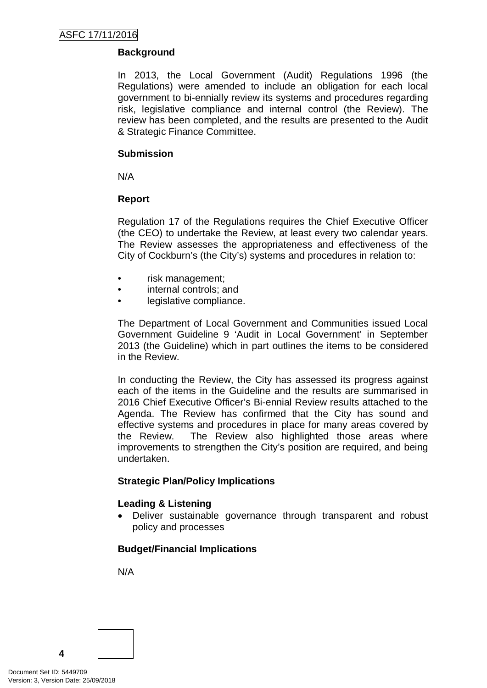#### **Background**

In 2013, the Local Government (Audit) Regulations 1996 (the Regulations) were amended to include an obligation for each local government to bi-ennially review its systems and procedures regarding risk, legislative compliance and internal control (the Review). The review has been completed, and the results are presented to the Audit & Strategic Finance Committee.

#### **Submission**

N/A

#### **Report**

Regulation 17 of the Regulations requires the Chief Executive Officer (the CEO) to undertake the Review, at least every two calendar years. The Review assesses the appropriateness and effectiveness of the City of Cockburn's (the City's) systems and procedures in relation to:

- risk management;
- internal controls; and
- legislative compliance.

The Department of Local Government and Communities issued Local Government Guideline 9 'Audit in Local Government' in September 2013 (the Guideline) which in part outlines the items to be considered in the Review.

In conducting the Review, the City has assessed its progress against each of the items in the Guideline and the results are summarised in 2016 Chief Executive Officer's Bi-ennial Review results attached to the Agenda. The Review has confirmed that the City has sound and effective systems and procedures in place for many areas covered by the Review. The Review also highlighted those areas where improvements to strengthen the City's position are required, and being undertaken.

#### **Strategic Plan/Policy Implications**

#### **Leading & Listening**

• Deliver sustainable governance through transparent and robust policy and processes

#### **Budget/Financial Implications**

N/A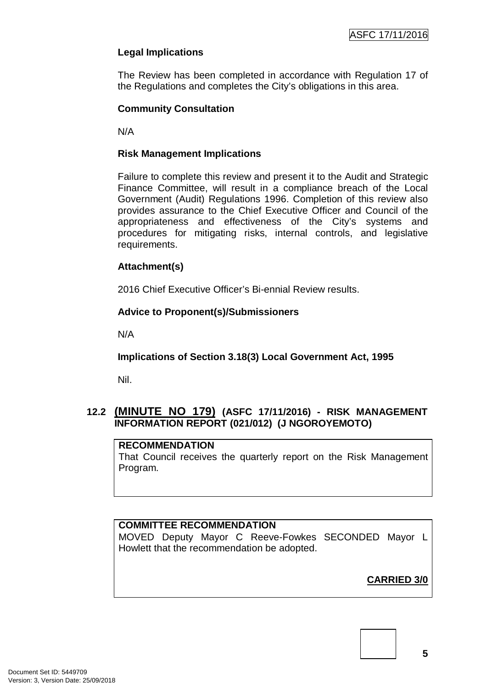#### **Legal Implications**

The Review has been completed in accordance with Regulation 17 of the Regulations and completes the City's obligations in this area.

#### **Community Consultation**

N/A

#### **Risk Management Implications**

Failure to complete this review and present it to the Audit and Strategic Finance Committee, will result in a compliance breach of the Local Government (Audit) Regulations 1996. Completion of this review also provides assurance to the Chief Executive Officer and Council of the appropriateness and effectiveness of the City's systems and procedures for mitigating risks, internal controls, and legislative requirements.

#### **Attachment(s)**

2016 Chief Executive Officer's Bi-ennial Review results.

#### **Advice to Proponent(s)/Submissioners**

N/A

**Implications of Section 3.18(3) Local Government Act, 1995**

Nil.

#### **12.2 (MINUTE NO 179) (ASFC 17/11/2016) - RISK MANAGEMENT INFORMATION REPORT (021/012) (J NGOROYEMOTO)**

#### **RECOMMENDATION**

That Council receives the quarterly report on the Risk Management Program.

#### **COMMITTEE RECOMMENDATION**

MOVED Deputy Mayor C Reeve-Fowkes SECONDED Mayor L Howlett that the recommendation be adopted.

**CARRIED 3/0**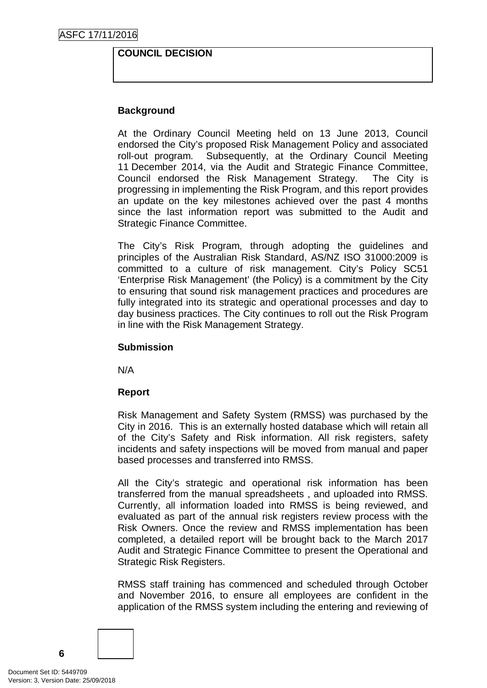#### **COUNCIL DECISION**

#### **Background**

At the Ordinary Council Meeting held on 13 June 2013, Council endorsed the City's proposed Risk Management Policy and associated roll-out program. Subsequently, at the Ordinary Council Meeting 11 December 2014, via the Audit and Strategic Finance Committee, Council endorsed the Risk Management Strategy. The City is progressing in implementing the Risk Program, and this report provides an update on the key milestones achieved over the past 4 months since the last information report was submitted to the Audit and Strategic Finance Committee.

The City's Risk Program, through adopting the guidelines and principles of the Australian Risk Standard, AS/NZ ISO 31000:2009 is committed to a culture of risk management. City's Policy SC51 'Enterprise Risk Management' (the Policy) is a commitment by the City to ensuring that sound risk management practices and procedures are fully integrated into its strategic and operational processes and day to day business practices. The City continues to roll out the Risk Program in line with the Risk Management Strategy.

#### **Submission**

N/A

#### **Report**

Risk Management and Safety System (RMSS) was purchased by the City in 2016. This is an externally hosted database which will retain all of the City's Safety and Risk information. All risk registers, safety incidents and safety inspections will be moved from manual and paper based processes and transferred into RMSS.

All the City's strategic and operational risk information has been transferred from the manual spreadsheets , and uploaded into RMSS. Currently, all information loaded into RMSS is being reviewed, and evaluated as part of the annual risk registers review process with the Risk Owners. Once the review and RMSS implementation has been completed, a detailed report will be brought back to the March 2017 Audit and Strategic Finance Committee to present the Operational and Strategic Risk Registers.

RMSS staff training has commenced and scheduled through October and November 2016, to ensure all employees are confident in the application of the RMSS system including the entering and reviewing of

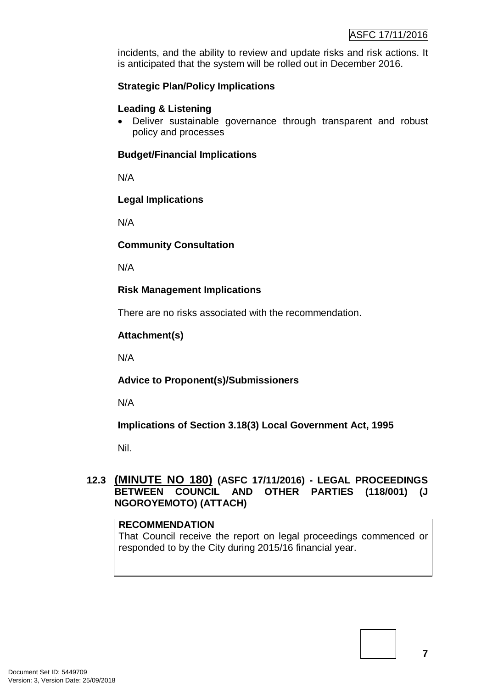incidents, and the ability to review and update risks and risk actions. It is anticipated that the system will be rolled out in December 2016.

#### **Strategic Plan/Policy Implications**

#### **Leading & Listening**

• Deliver sustainable governance through transparent and robust policy and processes

#### **Budget/Financial Implications**

N/A

#### **Legal Implications**

N/A

#### **Community Consultation**

N/A

#### **Risk Management Implications**

There are no risks associated with the recommendation.

#### **Attachment(s)**

N/A

#### **Advice to Proponent(s)/Submissioners**

N/A

#### **Implications of Section 3.18(3) Local Government Act, 1995**

Nil.

#### **12.3 (MINUTE NO 180) (ASFC 17/11/2016) - LEGAL PROCEEDINGS BETWEEN COUNCIL AND OTHER PARTIES (118/001) (J NGOROYEMOTO) (ATTACH)**

#### **RECOMMENDATION**

That Council receive the report on legal proceedings commenced or responded to by the City during 2015/16 financial year.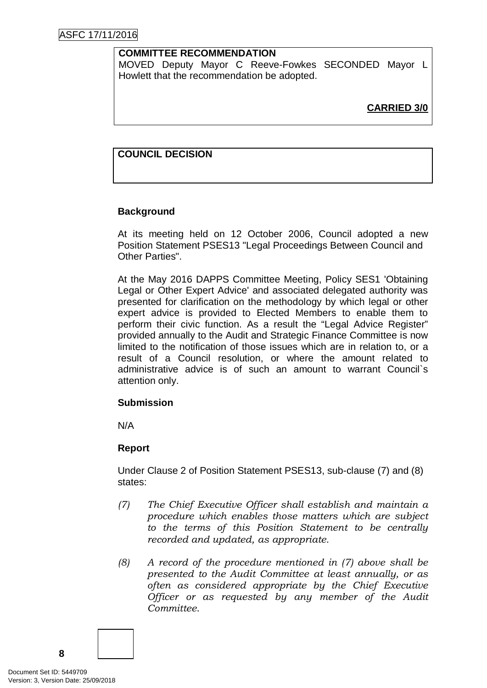#### **COMMITTEE RECOMMENDATION**

MOVED Deputy Mayor C Reeve-Fowkes SECONDED Mayor L Howlett that the recommendation be adopted.

**CARRIED 3/0**

#### **COUNCIL DECISION**

#### **Background**

At its meeting held on 12 October 2006, Council adopted a new Position Statement PSES13 "Legal Proceedings Between Council and Other Parties".

At the May 2016 DAPPS Committee Meeting, Policy SES1 'Obtaining Legal or Other Expert Advice' and associated delegated authority was presented for clarification on the methodology by which legal or other expert advice is provided to Elected Members to enable them to perform their civic function. As a result the "Legal Advice Register" provided annually to the Audit and Strategic Finance Committee is now limited to the notification of those issues which are in relation to, or a result of a Council resolution, or where the amount related to administrative advice is of such an amount to warrant Council`s attention only.

#### **Submission**

N/A

#### **Report**

Under Clause 2 of Position Statement PSES13, sub-clause (7) and (8) states:

- *(7) The Chief Executive Officer shall establish and maintain a procedure which enables those matters which are subject to the terms of this Position Statement to be centrally recorded and updated, as appropriate.*
- *(8) A record of the procedure mentioned in (7) above shall be presented to the Audit Committee at least annually, or as often as considered appropriate by the Chief Executive Officer or as requested by any member of the Audit Committee*.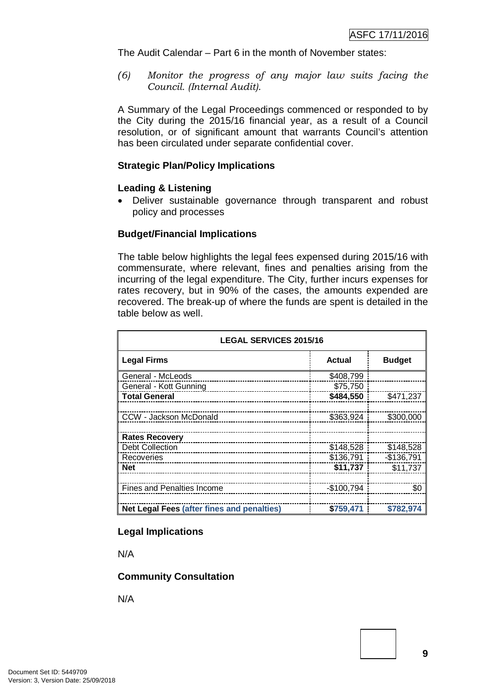The Audit Calendar – Part 6 in the month of November states:

*(6) Monitor the progress of any major law suits facing the Council. (Internal Audit).*

A Summary of the Legal Proceedings commenced or responded to by the City during the 2015/16 financial year, as a result of a Council resolution, or of significant amount that warrants Council's attention has been circulated under separate confidential cover.

#### **Strategic Plan/Policy Implications**

#### **Leading & Listening**

• Deliver sustainable governance through transparent and robust policy and processes

#### **Budget/Financial Implications**

The table below highlights the legal fees expensed during 2015/16 with commensurate, where relevant, fines and penalties arising from the incurring of the legal expenditure. The City, further incurs expenses for rates recovery, but in 90% of the cases, the amounts expended are recovered. The break-up of where the funds are spent is detailed in the table below as well.

| <b>LEGAL SERVICES 2015/16</b>              |               |               |  |  |  |
|--------------------------------------------|---------------|---------------|--|--|--|
| <b>Legal Firms</b>                         | <b>Actual</b> | <b>Budget</b> |  |  |  |
| General - McLeods                          | \$408,799     |               |  |  |  |
| General - Kott Gunning                     | \$75,750      |               |  |  |  |
| <b>Total General</b>                       | \$484,550     | \$471,237     |  |  |  |
|                                            |               |               |  |  |  |
| CCW - Jackson McDonald                     | \$363,924     | \$300,000     |  |  |  |
|                                            |               |               |  |  |  |
| <b>Rates Recovery</b>                      |               |               |  |  |  |
| <b>Debt Collection</b>                     | \$148,528     | \$148,528     |  |  |  |
| Recoveries                                 | $$136,791$    | $-$136,791$   |  |  |  |
| <b>Net</b>                                 | \$11,737      | \$11,737      |  |  |  |
|                                            |               |               |  |  |  |
| <b>Fines and Penalties Income</b>          | $-$100,794$   | \$0           |  |  |  |
|                                            |               |               |  |  |  |
| Net Legal Fees (after fines and penalties) | \$759,471     | \$782,974     |  |  |  |

#### **Legal Implications**

N/A

#### **Community Consultation**

N/A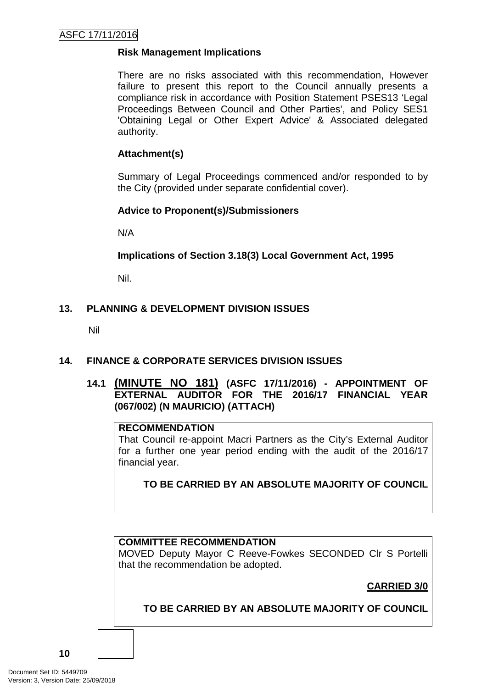#### **Risk Management Implications**

There are no risks associated with this recommendation, However failure to present this report to the Council annually presents a compliance risk in accordance with Position Statement PSES13 'Legal Proceedings Between Council and Other Parties', and Policy SES1 'Obtaining Legal or Other Expert Advice' & Associated delegated authority.

#### **Attachment(s)**

Summary of Legal Proceedings commenced and/or responded to by the City (provided under separate confidential cover).

#### **Advice to Proponent(s)/Submissioners**

N/A

**Implications of Section 3.18(3) Local Government Act, 1995**

Nil.

#### **13. PLANNING & DEVELOPMENT DIVISION ISSUES**

Nil

#### **14. FINANCE & CORPORATE SERVICES DIVISION ISSUES**

#### **14.1 (MINUTE NO 181) (ASFC 17/11/2016) - APPOINTMENT OF EXTERNAL AUDITOR FOR THE 2016/17 FINANCIAL YEAR (067/002) (N MAURICIO) (ATTACH)**

#### **RECOMMENDATION**

That Council re-appoint Macri Partners as the City's External Auditor for a further one year period ending with the audit of the 2016/17 financial year.

#### **TO BE CARRIED BY AN ABSOLUTE MAJORITY OF COUNCIL**

#### **COMMITTEE RECOMMENDATION**

MOVED Deputy Mayor C Reeve-Fowkes SECONDED Clr S Portelli that the recommendation be adopted.

#### **CARRIED 3/0**

#### **TO BE CARRIED BY AN ABSOLUTE MAJORITY OF COUNCIL**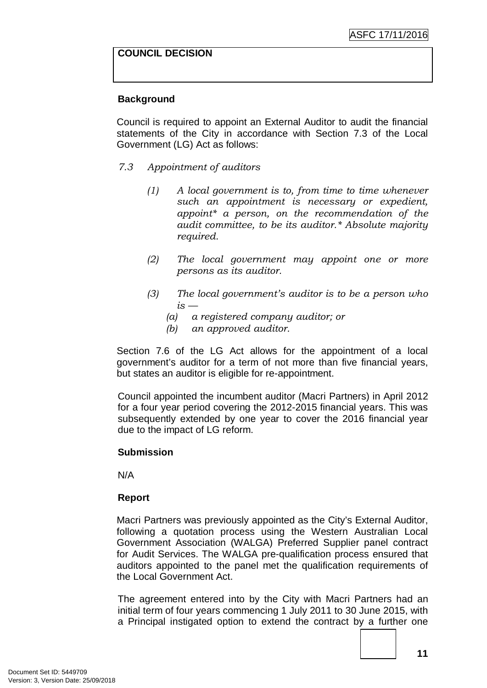#### **COUNCIL DECISION**

#### **Background**

Council is required to appoint an External Auditor to audit the financial statements of the City in accordance with Section 7.3 of the Local Government (LG) Act as follows:

- *7.3 Appointment of auditors* 
	- *(1) A local government is to, from time to time whenever such an appointment is necessary or expedient, appoint\* a person, on the recommendation of the audit committee, to be its auditor.\* Absolute majority required.*
	- *(2) The local government may appoint one or more persons as its auditor.*
	- *(3) The local government's auditor is to be a person who is —*
		- *(a) a registered company auditor; or*
		- *(b) an approved auditor.*

Section 7.6 of the LG Act allows for the appointment of a local government's auditor for a term of not more than five financial years, but states an auditor is eligible for re-appointment.

Council appointed the incumbent auditor (Macri Partners) in April 2012 for a four year period covering the 2012-2015 financial years. This was subsequently extended by one year to cover the 2016 financial year due to the impact of LG reform.

#### **Submission**

N/A

#### **Report**

Macri Partners was previously appointed as the City's External Auditor, following a quotation process using the Western Australian Local Government Association (WALGA) Preferred Supplier panel contract for Audit Services. The WALGA pre-qualification process ensured that auditors appointed to the panel met the qualification requirements of the Local Government Act.

The agreement entered into by the City with Macri Partners had an initial term of four years commencing 1 July 2011 to 30 June 2015, with a Principal instigated option to extend the contract by a further one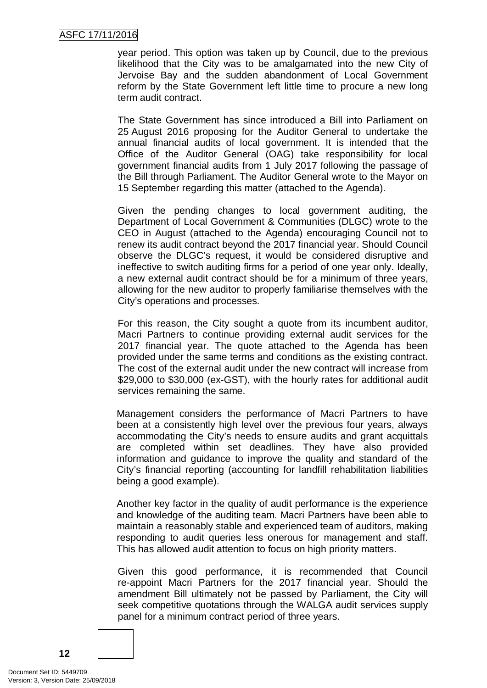#### ASFC 17/11/2016

year period. This option was taken up by Council, due to the previous likelihood that the City was to be amalgamated into the new City of Jervoise Bay and the sudden abandonment of Local Government reform by the State Government left little time to procure a new long term audit contract.

The State Government has since introduced a Bill into Parliament on 25 August 2016 proposing for the Auditor General to undertake the annual financial audits of local government. It is intended that the Office of the Auditor General (OAG) take responsibility for local government financial audits from 1 July 2017 following the passage of the Bill through Parliament. The Auditor General wrote to the Mayor on 15 September regarding this matter (attached to the Agenda).

Given the pending changes to local government auditing, the Department of Local Government & Communities (DLGC) wrote to the CEO in August (attached to the Agenda) encouraging Council not to renew its audit contract beyond the 2017 financial year. Should Council observe the DLGC's request, it would be considered disruptive and ineffective to switch auditing firms for a period of one year only. Ideally, a new external audit contract should be for a minimum of three years, allowing for the new auditor to properly familiarise themselves with the City's operations and processes.

For this reason, the City sought a quote from its incumbent auditor, Macri Partners to continue providing external audit services for the 2017 financial year. The quote attached to the Agenda has been provided under the same terms and conditions as the existing contract. The cost of the external audit under the new contract will increase from \$29,000 to \$30,000 (ex-GST), with the hourly rates for additional audit services remaining the same.

Management considers the performance of Macri Partners to have been at a consistently high level over the previous four years, always accommodating the City's needs to ensure audits and grant acquittals are completed within set deadlines. They have also provided information and guidance to improve the quality and standard of the City's financial reporting (accounting for landfill rehabilitation liabilities being a good example).

Another key factor in the quality of audit performance is the experience and knowledge of the auditing team. Macri Partners have been able to maintain a reasonably stable and experienced team of auditors, making responding to audit queries less onerous for management and staff. This has allowed audit attention to focus on high priority matters.

Given this good performance, it is recommended that Council re-appoint Macri Partners for the 2017 financial year. Should the amendment Bill ultimately not be passed by Parliament, the City will seek competitive quotations through the WALGA audit services supply panel for a minimum contract period of three years.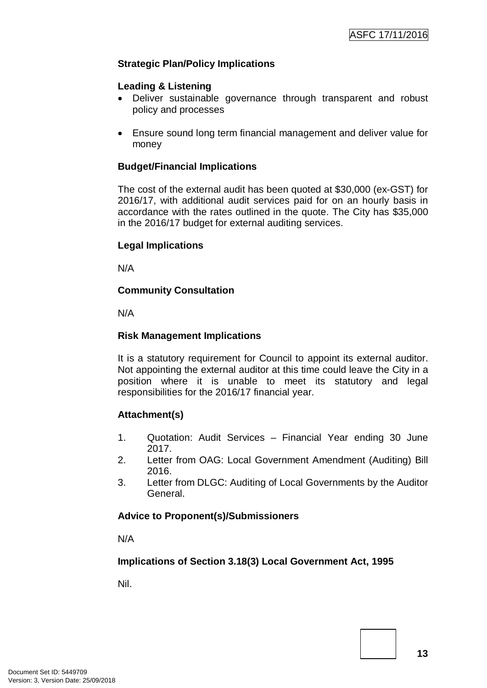#### **Strategic Plan/Policy Implications**

#### **Leading & Listening**

- Deliver sustainable governance through transparent and robust policy and processes
- Ensure sound long term financial management and deliver value for money

#### **Budget/Financial Implications**

The cost of the external audit has been quoted at \$30,000 (ex-GST) for 2016/17, with additional audit services paid for on an hourly basis in accordance with the rates outlined in the quote. The City has \$35,000 in the 2016/17 budget for external auditing services.

#### **Legal Implications**

N/A

#### **Community Consultation**

N/A

#### **Risk Management Implications**

It is a statutory requirement for Council to appoint its external auditor. Not appointing the external auditor at this time could leave the City in a position where it is unable to meet its statutory and legal responsibilities for the 2016/17 financial year.

#### **Attachment(s)**

- 1. Quotation: Audit Services Financial Year ending 30 June 2017.
- 2. Letter from OAG: Local Government Amendment (Auditing) Bill 2016.
- 3. Letter from DLGC: Auditing of Local Governments by the Auditor General.

#### **Advice to Proponent(s)/Submissioners**

N/A

#### **Implications of Section 3.18(3) Local Government Act, 1995**

Nil.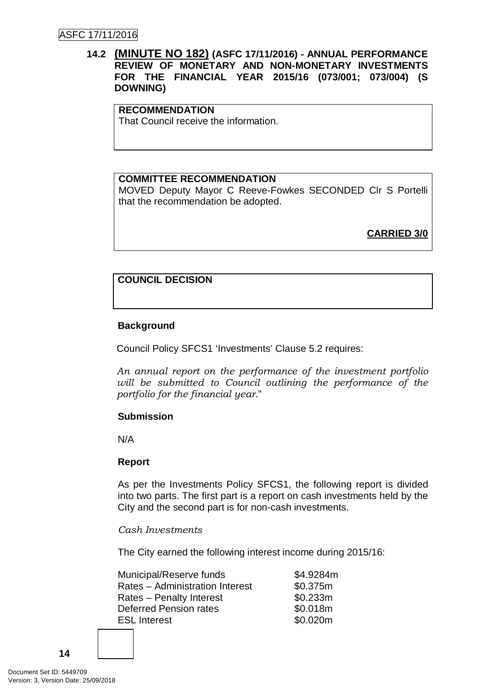#### **14.2 (MINUTE NO 182) (ASFC 17/11/2016) - ANNUAL PERFORMANCE REVIEW OF MONETARY AND NON-MONETARY INVESTMENTS FOR THE FINANCIAL YEAR 2015/16 (073/001; 073/004) (S DOWNING)**

#### **RECOMMENDATION**

That Council receive the information.

#### **COMMITTEE RECOMMENDATION**

MOVED Deputy Mayor C Reeve-Fowkes SECONDED Clr S Portelli that the recommendation be adopted.

**CARRIED 3/0**

#### **COUNCIL DECISION**

#### **Background**

Council Policy SFCS1 'Investments' Clause 5.2 requires:

*An annual report on the performance of the investment portfolio will be submitted to Council outlining the performance of the portfolio for the financial year.*"

#### **Submission**

N/A

#### **Report**

As per the Investments Policy SFCS1, the following report is divided into two parts. The first part is a report on cash investments held by the City and the second part is for non-cash investments.

#### *Cash Investments*

The City earned the following interest income during 2015/16:

| Municipal/Reserve funds         | \$4.9284m |
|---------------------------------|-----------|
| Rates - Administration Interest | \$0.375m  |
| Rates - Penalty Interest        | \$0.233m  |
| Deferred Pension rates          | \$0.018m  |
| <b>ESL Interest</b>             | \$0.020m  |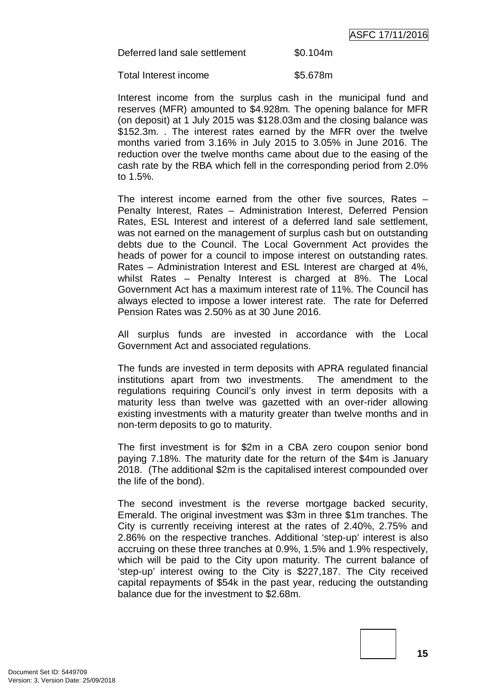Deferred land sale settlement \$0.104m

Total Interest income **\$5.678m** 

Interest income from the surplus cash in the municipal fund and reserves (MFR) amounted to \$4.928m. The opening balance for MFR (on deposit) at 1 July 2015 was \$128.03m and the closing balance was \$152.3m. . The interest rates earned by the MFR over the twelve months varied from 3.16% in July 2015 to 3.05% in June 2016. The reduction over the twelve months came about due to the easing of the cash rate by the RBA which fell in the corresponding period from 2.0% to 1.5%.

The interest income earned from the other five sources, Rates – Penalty Interest, Rates – Administration Interest, Deferred Pension Rates, ESL Interest and interest of a deferred land sale settlement, was not earned on the management of surplus cash but on outstanding debts due to the Council. The Local Government Act provides the heads of power for a council to impose interest on outstanding rates. Rates – Administration Interest and ESL Interest are charged at 4%, whilst Rates – Penalty Interest is charged at 8%. The Local Government Act has a maximum interest rate of 11%. The Council has always elected to impose a lower interest rate. The rate for Deferred Pension Rates was 2.50% as at 30 June 2016.

All surplus funds are invested in accordance with the Local Government Act and associated regulations.

The funds are invested in term deposits with APRA regulated financial institutions apart from two investments. The amendment to the regulations requiring Council's only invest in term deposits with a maturity less than twelve was gazetted with an over-rider allowing existing investments with a maturity greater than twelve months and in non-term deposits to go to maturity.

The first investment is for \$2m in a CBA zero coupon senior bond paying 7.18%. The maturity date for the return of the \$4m is January 2018. (The additional \$2m is the capitalised interest compounded over the life of the bond).

The second investment is the reverse mortgage backed security, Emerald. The original investment was \$3m in three \$1m tranches. The City is currently receiving interest at the rates of 2.40%, 2.75% and 2.86% on the respective tranches. Additional 'step-up' interest is also accruing on these three tranches at 0.9%, 1.5% and 1.9% respectively, which will be paid to the City upon maturity. The current balance of 'step-up' interest owing to the City is \$227,187. The City received capital repayments of \$54k in the past year, reducing the outstanding balance due for the investment to \$2.68m.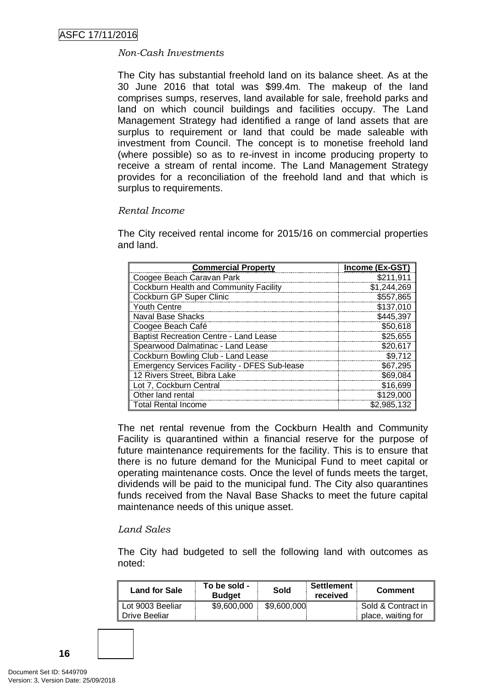#### *Non-Cash Investments*

The City has substantial freehold land on its balance sheet. As at the 30 June 2016 that total was \$99.4m. The makeup of the land comprises sumps, reserves, land available for sale, freehold parks and land on which council buildings and facilities occupy. The Land Management Strategy had identified a range of land assets that are surplus to requirement or land that could be made saleable with investment from Council. The concept is to monetise freehold land (where possible) so as to re-invest in income producing property to receive a stream of rental income. The Land Management Strategy provides for a reconciliation of the freehold land and that which is surplus to requirements.

#### *Rental Income*

The City received rental income for 2015/16 on commercial properties and land.

| <b>Commercial Property</b>                          | Income (Ex-GST) |
|-----------------------------------------------------|-----------------|
| Coogee Beach Caravan Park                           | \$211,911       |
| Cockburn Health and Community Facility              | \$1,244,269     |
| Cockburn GP Super Clinic                            | \$557,865       |
| <b>Youth Centre</b>                                 | \$137,010       |
| Naval Base Shacks                                   | \$445,397       |
| Coogee Beach Café                                   | \$50,618        |
| <b>Baptist Recreation Centre - Land Lease</b>       | \$25,655        |
| Spearwood Dalmatinac - Land Lease                   | \$20,617        |
| Cockburn Bowling Club - Land Lease                  | \$9,712         |
| <b>Emergency Services Facility - DFES Sub-lease</b> | \$67,295        |
| 12 Rivers Street, Bibra Lake                        | \$69,084        |
| Lot 7, Cockburn Central                             | \$16,699        |
| Other land rental                                   | \$129,000       |
| <b>Total Rental Income</b>                          | \$2,985,132     |

The net rental revenue from the Cockburn Health and Community Facility is quarantined within a financial reserve for the purpose of future maintenance requirements for the facility. This is to ensure that there is no future demand for the Municipal Fund to meet capital or operating maintenance costs. Once the level of funds meets the target, dividends will be paid to the municipal fund. The City also quarantines funds received from the Naval Base Shacks to meet the future capital maintenance needs of this unique asset.

#### *Land Sales*

The City had budgeted to sell the following land with outcomes as noted:

| <b>Land for Sale</b> | To be sold -<br><b>Budget</b> | Sold        | <b>Settlement</b><br>received | <b>Comment</b>     |
|----------------------|-------------------------------|-------------|-------------------------------|--------------------|
| Lot 9003 Beeliar     | \$9,600,000                   | \$9,600,000 |                               | Sold & Contract in |
| Drive Beeliar        |                               |             |                               | place, waiting for |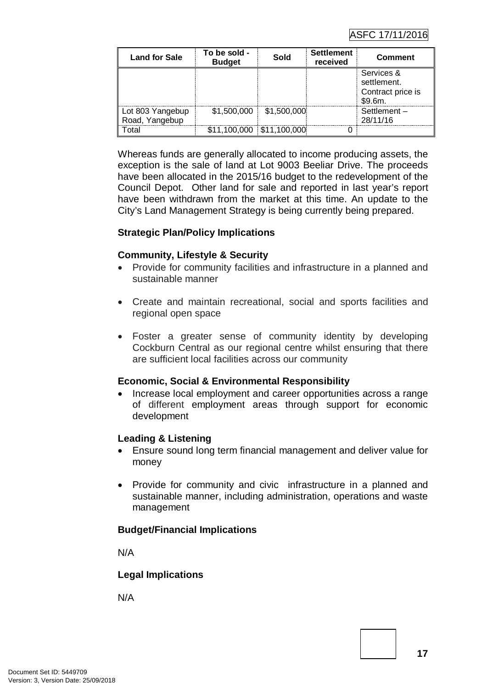| <b>Land for Sale</b>               | To be sold -<br><b>Budget</b> | Sold        | <b>Settlement</b><br>received | <b>Comment</b>                                            |
|------------------------------------|-------------------------------|-------------|-------------------------------|-----------------------------------------------------------|
|                                    |                               |             |                               | Services &<br>settlement.<br>Contract price is<br>\$9.6m. |
| Lot 803 Yangebup<br>Road, Yangebup | \$1,500,000                   | \$1,500,000 |                               | Settlement-<br>28/11/16                                   |
| cotal                              | \$11,100,000 \$11,100,000     |             |                               |                                                           |

Whereas funds are generally allocated to income producing assets, the exception is the sale of land at Lot 9003 Beeliar Drive. The proceeds have been allocated in the 2015/16 budget to the redevelopment of the Council Depot. Other land for sale and reported in last year's report have been withdrawn from the market at this time. An update to the City's Land Management Strategy is being currently being prepared.

#### **Strategic Plan/Policy Implications**

#### **Community, Lifestyle & Security**

- Provide for community facilities and infrastructure in a planned and sustainable manner
- Create and maintain recreational, social and sports facilities and regional open space
- Foster a greater sense of community identity by developing Cockburn Central as our regional centre whilst ensuring that there are sufficient local facilities across our community

#### **Economic, Social & Environmental Responsibility**

• Increase local employment and career opportunities across a range of different employment areas through support for economic development

#### **Leading & Listening**

- Ensure sound long term financial management and deliver value for money
- Provide for community and civic infrastructure in a planned and sustainable manner, including administration, operations and waste management

#### **Budget/Financial Implications**

N/A

#### **Legal Implications**

N/A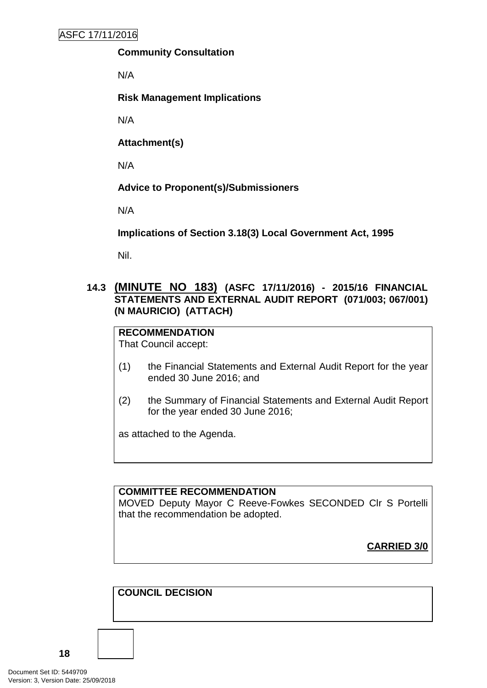#### **Community Consultation**

N/A

**Risk Management Implications**

N/A

**Attachment(s)**

N/A

**Advice to Proponent(s)/Submissioners**

N/A

**Implications of Section 3.18(3) Local Government Act, 1995**

Nil.

#### **14.3 (MINUTE NO 183) (ASFC 17/11/2016) - 2015/16 FINANCIAL STATEMENTS AND EXTERNAL AUDIT REPORT (071/003; 067/001) (N MAURICIO) (ATTACH)**

**RECOMMENDATION** That Council accept:

- (1) the Financial Statements and External Audit Report for the year ended 30 June 2016; and
- (2) the Summary of Financial Statements and External Audit Report for the year ended 30 June 2016;

as attached to the Agenda.

#### **COMMITTEE RECOMMENDATION**

MOVED Deputy Mayor C Reeve-Fowkes SECONDED Clr S Portelli that the recommendation be adopted.

**CARRIED 3/0**

**COUNCIL DECISION**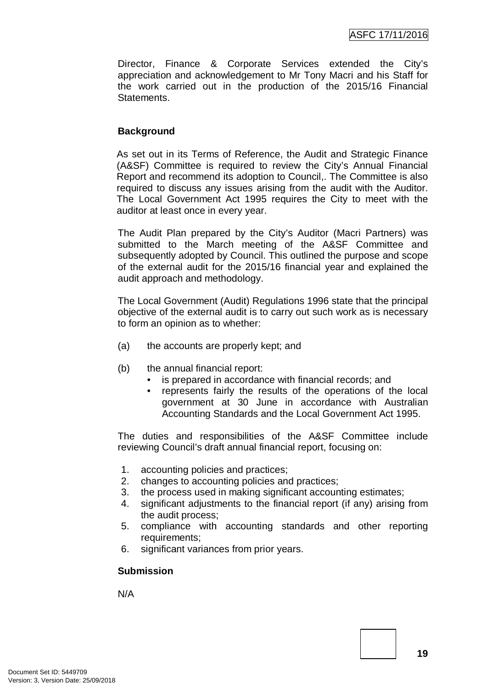Director, Finance & Corporate Services extended the City's appreciation and acknowledgement to Mr Tony Macri and his Staff for the work carried out in the production of the 2015/16 Financial **Statements** 

#### **Background**

As set out in its Terms of Reference, the Audit and Strategic Finance (A&SF) Committee is required to review the City's Annual Financial Report and recommend its adoption to Council,. The Committee is also required to discuss any issues arising from the audit with the Auditor. The Local Government Act 1995 requires the City to meet with the auditor at least once in every year.

The Audit Plan prepared by the City's Auditor (Macri Partners) was submitted to the March meeting of the A&SF Committee and subsequently adopted by Council. This outlined the purpose and scope of the external audit for the 2015/16 financial year and explained the audit approach and methodology.

The Local Government (Audit) Regulations 1996 state that the principal objective of the external audit is to carry out such work as is necessary to form an opinion as to whether:

- (a) the accounts are properly kept; and
- (b) the annual financial report:
	- is prepared in accordance with financial records; and
	- represents fairly the results of the operations of the local government at 30 June in accordance with Australian Accounting Standards and the Local Government Act 1995.

The duties and responsibilities of the A&SF Committee include reviewing Council's draft annual financial report, focusing on:

- 1. accounting policies and practices;
- 2. changes to accounting policies and practices;
- 3. the process used in making significant accounting estimates;
- 4. significant adjustments to the financial report (if any) arising from the audit process;
- 5. compliance with accounting standards and other reporting requirements;
- 6. significant variances from prior years.

#### **Submission**

N/A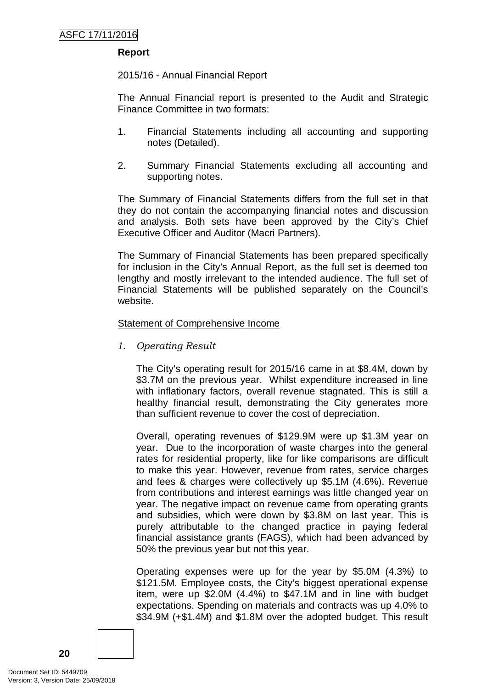#### **Report**

#### 2015/16 - Annual Financial Report

The Annual Financial report is presented to the Audit and Strategic Finance Committee in two formats:

- 1. Financial Statements including all accounting and supporting notes (Detailed).
- 2. Summary Financial Statements excluding all accounting and supporting notes.

The Summary of Financial Statements differs from the full set in that they do not contain the accompanying financial notes and discussion and analysis. Both sets have been approved by the City's Chief Executive Officer and Auditor (Macri Partners).

The Summary of Financial Statements has been prepared specifically for inclusion in the City's Annual Report, as the full set is deemed too lengthy and mostly irrelevant to the intended audience. The full set of Financial Statements will be published separately on the Council's website.

#### Statement of Comprehensive Income

*1. Operating Result*

The City's operating result for 2015/16 came in at \$8.4M, down by \$3.7M on the previous year. Whilst expenditure increased in line with inflationary factors, overall revenue stagnated. This is still a healthy financial result, demonstrating the City generates more than sufficient revenue to cover the cost of depreciation.

Overall, operating revenues of \$129.9M were up \$1.3M year on year. Due to the incorporation of waste charges into the general rates for residential property, like for like comparisons are difficult to make this year. However, revenue from rates, service charges and fees & charges were collectively up \$5.1M (4.6%). Revenue from contributions and interest earnings was little changed year on year. The negative impact on revenue came from operating grants and subsidies, which were down by \$3.8M on last year. This is purely attributable to the changed practice in paying federal financial assistance grants (FAGS), which had been advanced by 50% the previous year but not this year.

Operating expenses were up for the year by \$5.0M (4.3%) to \$121.5M. Employee costs, the City's biggest operational expense item, were up \$2.0M (4.4%) to \$47.1M and in line with budget expectations. Spending on materials and contracts was up 4.0% to \$34.9M (+\$1.4M) and \$1.8M over the adopted budget. This result

Document Set ID: 5449709<br>Version: 3, Version Date: 25/09/2018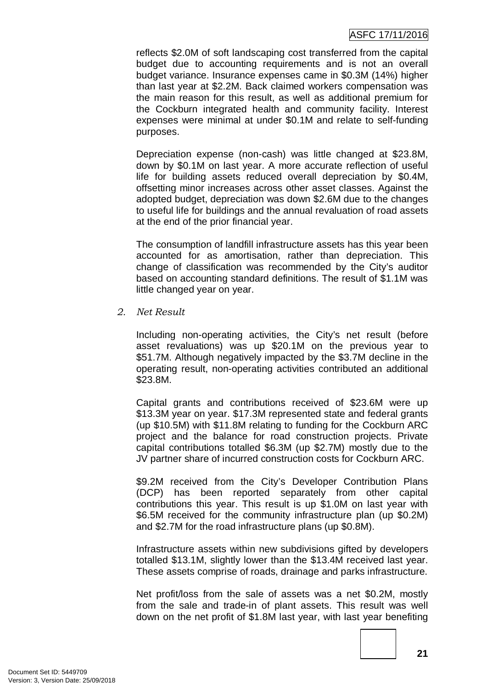#### ASFC 17/11/2016

reflects \$2.0M of soft landscaping cost transferred from the capital budget due to accounting requirements and is not an overall budget variance. Insurance expenses came in \$0.3M (14%) higher than last year at \$2.2M. Back claimed workers compensation was the main reason for this result, as well as additional premium for the Cockburn integrated health and community facility. Interest expenses were minimal at under \$0.1M and relate to self-funding purposes.

Depreciation expense (non-cash) was little changed at \$23.8M, down by \$0.1M on last year. A more accurate reflection of useful life for building assets reduced overall depreciation by \$0.4M, offsetting minor increases across other asset classes. Against the adopted budget, depreciation was down \$2.6M due to the changes to useful life for buildings and the annual revaluation of road assets at the end of the prior financial year.

The consumption of landfill infrastructure assets has this year been accounted for as amortisation, rather than depreciation. This change of classification was recommended by the City's auditor based on accounting standard definitions. The result of \$1.1M was little changed year on year.

*2. Net Result*

Including non-operating activities, the City's net result (before asset revaluations) was up \$20.1M on the previous year to \$51.7M. Although negatively impacted by the \$3.7M decline in the operating result, non-operating activities contributed an additional \$23.8M.

Capital grants and contributions received of \$23.6M were up \$13.3M year on year. \$17.3M represented state and federal grants (up \$10.5M) with \$11.8M relating to funding for the Cockburn ARC project and the balance for road construction projects. Private capital contributions totalled \$6.3M (up \$2.7M) mostly due to the JV partner share of incurred construction costs for Cockburn ARC.

\$9.2M received from the City's Developer Contribution Plans (DCP) has been reported separately from other capital contributions this year. This result is up \$1.0M on last year with \$6.5M received for the community infrastructure plan (up \$0.2M) and \$2.7M for the road infrastructure plans (up \$0.8M).

Infrastructure assets within new subdivisions gifted by developers totalled \$13.1M, slightly lower than the \$13.4M received last year. These assets comprise of roads, drainage and parks infrastructure.

Net profit/loss from the sale of assets was a net \$0.2M, mostly from the sale and trade-in of plant assets. This result was well down on the net profit of \$1.8M last year, with last year benefiting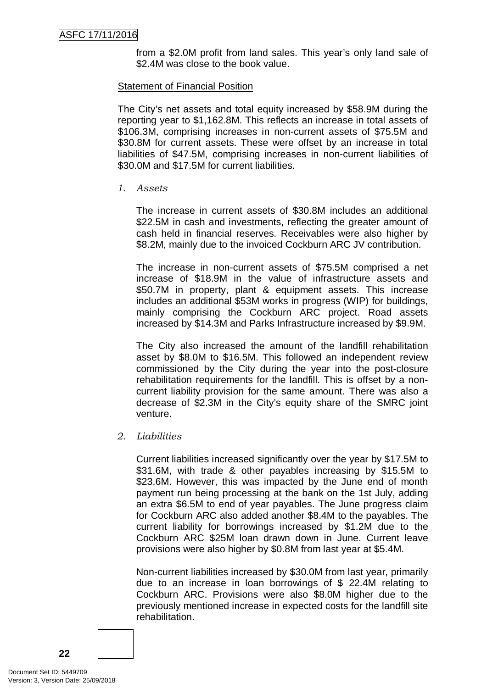from a \$2.0M profit from land sales. This year's only land sale of \$2.4M was close to the book value.

#### Statement of Financial Position

The City's net assets and total equity increased by \$58.9M during the reporting year to \$1,162.8M. This reflects an increase in total assets of \$106.3M, comprising increases in non-current assets of \$75.5M and \$30.8M for current assets. These were offset by an increase in total liabilities of \$47.5M, comprising increases in non-current liabilities of \$30.0M and \$17.5M for current liabilities.

#### *1. Assets*

The increase in current assets of \$30.8M includes an additional \$22.5M in cash and investments, reflecting the greater amount of cash held in financial reserves. Receivables were also higher by \$8.2M, mainly due to the invoiced Cockburn ARC JV contribution.

The increase in non-current assets of \$75.5M comprised a net increase of \$18.9M in the value of infrastructure assets and \$50.7M in property, plant & equipment assets. This increase includes an additional \$53M works in progress (WIP) for buildings, mainly comprising the Cockburn ARC project. Road assets increased by \$14.3M and Parks Infrastructure increased by \$9.9M.

The City also increased the amount of the landfill rehabilitation asset by \$8.0M to \$16.5M. This followed an independent review commissioned by the City during the year into the post-closure rehabilitation requirements for the landfill. This is offset by a noncurrent liability provision for the same amount. There was also a decrease of \$2.3M in the City's equity share of the SMRC joint venture.

*2. Liabilities* 

Current liabilities increased significantly over the year by \$17.5M to \$31.6M, with trade & other payables increasing by \$15.5M to \$23.6M. However, this was impacted by the June end of month payment run being processing at the bank on the 1st July, adding an extra \$6.5M to end of year payables. The June progress claim for Cockburn ARC also added another \$8.4M to the payables. The current liability for borrowings increased by \$1.2M due to the Cockburn ARC \$25M loan drawn down in June. Current leave provisions were also higher by \$0.8M from last year at \$5.4M.

Non-current liabilities increased by \$30.0M from last year, primarily due to an increase in loan borrowings of \$ 22.4M relating to Cockburn ARC. Provisions were also \$8.0M higher due to the previously mentioned increase in expected costs for the landfill site rehabilitation.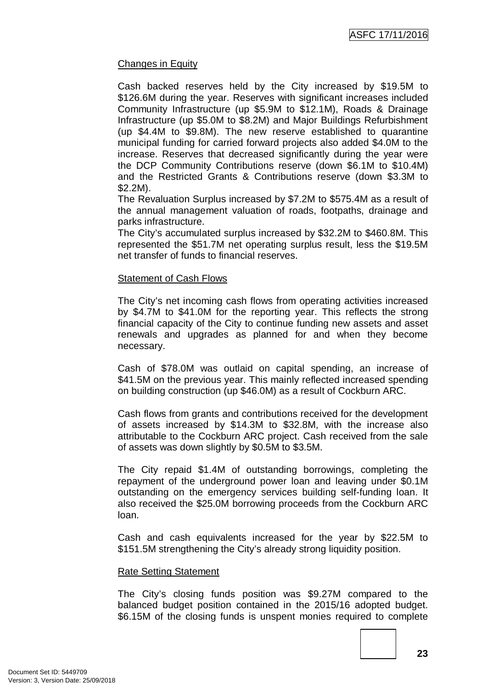#### Changes in Equity

Cash backed reserves held by the City increased by \$19.5M to \$126.6M during the year. Reserves with significant increases included Community Infrastructure (up \$5.9M to \$12.1M), Roads & Drainage Infrastructure (up \$5.0M to \$8.2M) and Major Buildings Refurbishment (up \$4.4M to \$9.8M). The new reserve established to quarantine municipal funding for carried forward projects also added \$4.0M to the increase. Reserves that decreased significantly during the year were the DCP Community Contributions reserve (down \$6.1M to \$10.4M) and the Restricted Grants & Contributions reserve (down \$3.3M to \$2.2M).

The Revaluation Surplus increased by \$7.2M to \$575.4M as a result of the annual management valuation of roads, footpaths, drainage and parks infrastructure.

The City's accumulated surplus increased by \$32.2M to \$460.8M. This represented the \$51.7M net operating surplus result, less the \$19.5M net transfer of funds to financial reserves.

#### Statement of Cash Flows

The City's net incoming cash flows from operating activities increased by \$4.7M to \$41.0M for the reporting year. This reflects the strong financial capacity of the City to continue funding new assets and asset renewals and upgrades as planned for and when they become necessary.

Cash of \$78.0M was outlaid on capital spending, an increase of \$41.5M on the previous year. This mainly reflected increased spending on building construction (up \$46.0M) as a result of Cockburn ARC.

Cash flows from grants and contributions received for the development of assets increased by \$14.3M to \$32.8M, with the increase also attributable to the Cockburn ARC project. Cash received from the sale of assets was down slightly by \$0.5M to \$3.5M.

The City repaid \$1.4M of outstanding borrowings, completing the repayment of the underground power loan and leaving under \$0.1M outstanding on the emergency services building self-funding loan. It also received the \$25.0M borrowing proceeds from the Cockburn ARC loan.

Cash and cash equivalents increased for the year by \$22.5M to \$151.5M strengthening the City's already strong liquidity position.

#### Rate Setting Statement

The City's closing funds position was \$9.27M compared to the balanced budget position contained in the 2015/16 adopted budget. \$6.15M of the closing funds is unspent monies required to complete

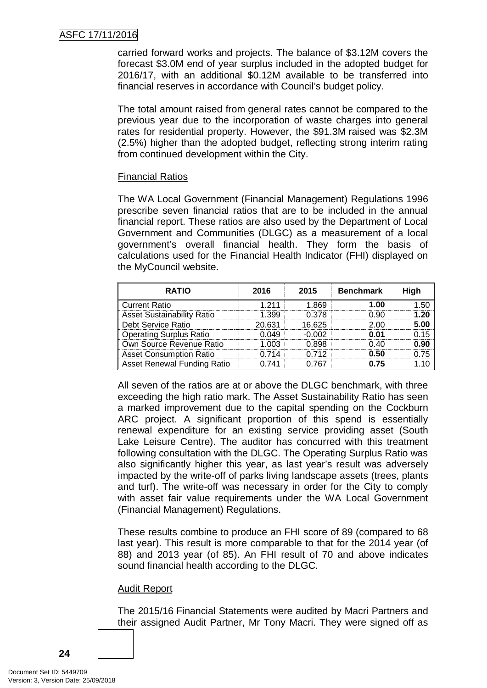carried forward works and projects. The balance of \$3.12M covers the forecast \$3.0M end of year surplus included in the adopted budget for 2016/17, with an additional \$0.12M available to be transferred into financial reserves in accordance with Council's budget policy.

The total amount raised from general rates cannot be compared to the previous year due to the incorporation of waste charges into general rates for residential property. However, the \$91.3M raised was \$2.3M (2.5%) higher than the adopted budget, reflecting strong interim rating from continued development within the City.

#### Financial Ratios

The WA Local Government (Financial Management) Regulations 1996 prescribe seven financial ratios that are to be included in the annual financial report. These ratios are also used by the Department of Local Government and Communities (DLGC) as a measurement of a local government's overall financial health. They form the basis of calculations used for the Financial Health Indicator (FHI) displayed on the MyCouncil website.

| <b>RATIO</b>                      | 2016   | 2015   | <b>Benchmark</b> | High |
|-----------------------------------|--------|--------|------------------|------|
| <b>Current Ratio</b>              | $-211$ | 1 869  | 1.00             |      |
| <b>Asset Sustainability Ratio</b> | 1.399  | 0.378  | חפ ר             | יכי  |
| <b>Debt Service Ratio</b>         | 20.631 | 16.625 | 2.00             | 5.00 |
| <b>Operating Surplus Ratio</b>    | በ በ49  | -0.002 | 0.01             |      |
| Own Source Revenue Ratio          | ററദ    | 0 898  | በ 40             | 0.90 |
| <b>Asset Consumption Ratio</b>    | 714    | በ 712  | 0.50             |      |
| Asset Renewal Funding Ratio       |        | 767    | በ 75             |      |

All seven of the ratios are at or above the DLGC benchmark, with three exceeding the high ratio mark. The Asset Sustainability Ratio has seen a marked improvement due to the capital spending on the Cockburn ARC project. A significant proportion of this spend is essentially renewal expenditure for an existing service providing asset (South Lake Leisure Centre). The auditor has concurred with this treatment following consultation with the DLGC. The Operating Surplus Ratio was also significantly higher this year, as last year's result was adversely impacted by the write-off of parks living landscape assets (trees, plants and turf). The write-off was necessary in order for the City to comply with asset fair value requirements under the WA Local Government (Financial Management) Regulations.

These results combine to produce an FHI score of 89 (compared to 68 last year). This result is more comparable to that for the 2014 year (of 88) and 2013 year (of 85). An FHI result of 70 and above indicates sound financial health according to the DLGC.

#### Audit Report

The 2015/16 Financial Statements were audited by Macri Partners and their assigned Audit Partner, Mr Tony Macri. They were signed off as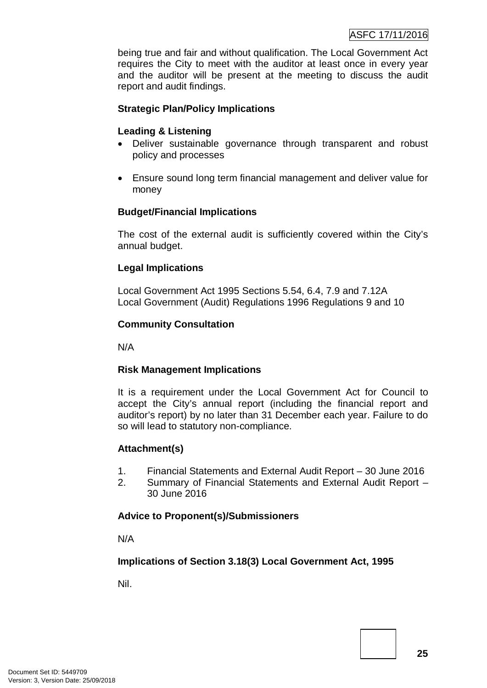being true and fair and without qualification. The Local Government Act requires the City to meet with the auditor at least once in every year and the auditor will be present at the meeting to discuss the audit report and audit findings.

#### **Strategic Plan/Policy Implications**

#### **Leading & Listening**

- Deliver sustainable governance through transparent and robust policy and processes
- Ensure sound long term financial management and deliver value for money

#### **Budget/Financial Implications**

The cost of the external audit is sufficiently covered within the City's annual budget.

#### **Legal Implications**

Local Government Act 1995 Sections 5.54, 6.4, 7.9 and 7.12A Local Government (Audit) Regulations 1996 Regulations 9 and 10

#### **Community Consultation**

N/A

#### **Risk Management Implications**

It is a requirement under the Local Government Act for Council to accept the City's annual report (including the financial report and auditor's report) by no later than 31 December each year. Failure to do so will lead to statutory non-compliance.

#### **Attachment(s)**

- 1. Financial Statements and External Audit Report 30 June 2016
- 2. Summary of Financial Statements and External Audit Report 30 June 2016

#### **Advice to Proponent(s)/Submissioners**

N/A

#### **Implications of Section 3.18(3) Local Government Act, 1995**

Nil.